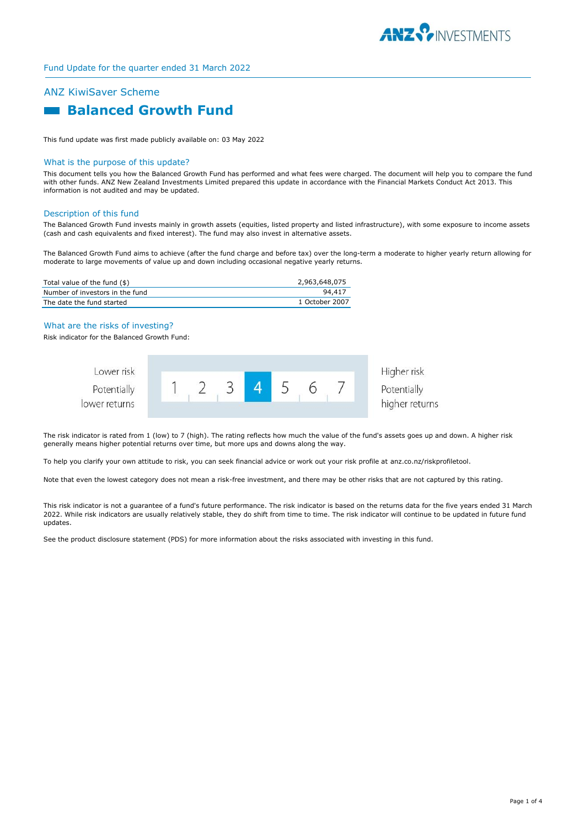

## ANZ KiwiSaver Scheme

# **Balanced Growth Fund**

This fund update was first made publicly available on: 03 May 2022

#### What is the purpose of this update?

This document tells you how the Balanced Growth Fund has performed and what fees were charged. The document will help you to compare the fund with other funds. ANZ New Zealand Investments Limited prepared this update in accordance with the Financial Markets Conduct Act 2013. This information is not audited and may be updated.

#### Description of this fund

The Balanced Growth Fund invests mainly in growth assets (equities, listed property and listed infrastructure), with some exposure to income assets (cash and cash equivalents and fixed interest). The fund may also invest in alternative assets.

The Balanced Growth Fund aims to achieve (after the fund charge and before tax) over the long-term a moderate to higher yearly return allowing for moderate to large movements of value up and down including occasional negative yearly returns.

| Total value of the fund (\$)    | 2,963,648,075  |
|---------------------------------|----------------|
| Number of investors in the fund | 94,417         |
| The date the fund started       | 1 October 2007 |

#### What are the risks of investing?

Risk indicator for the Balanced Growth Fund:



The risk indicator is rated from 1 (low) to 7 (high). The rating reflects how much the value of the fund's assets goes up and down. A higher risk generally means higher potential returns over time, but more ups and downs along the way.

To help you clarify your own attitude to risk, you can seek financial advice or work out your risk profile at anz.co.nz/riskprofiletool.

Note that even the lowest category does not mean a risk-free investment, and there may be other risks that are not captured by this rating.

This risk indicator is not a guarantee of a fund's future performance. The risk indicator is based on the returns data for the five years ended 31 March 2022. While risk indicators are usually relatively stable, they do shift from time to time. The risk indicator will continue to be updated in future fund updates.

See the product disclosure statement (PDS) for more information about the risks associated with investing in this fund.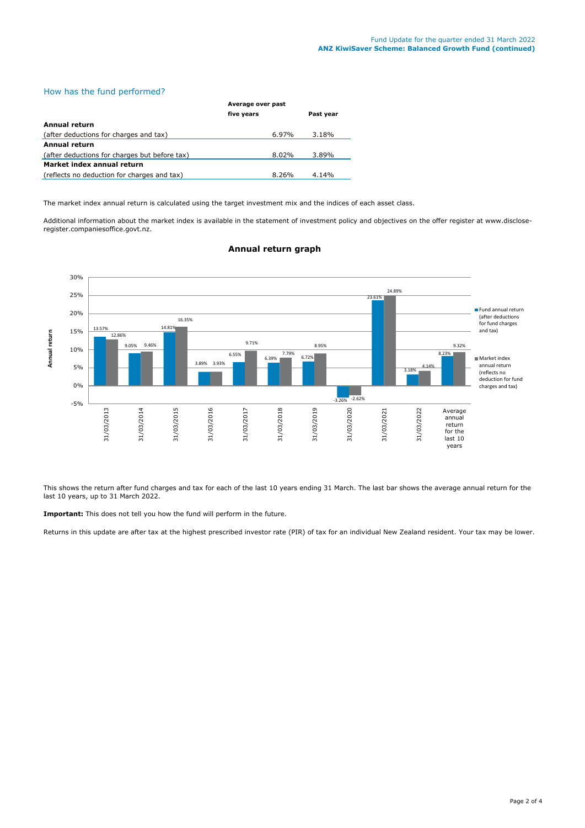#### How has the fund performed?

|                                               | Average over past |           |  |
|-----------------------------------------------|-------------------|-----------|--|
|                                               | five years        | Past year |  |
| Annual return                                 |                   |           |  |
| (after deductions for charges and tax)        | 6.97%             | 3.18%     |  |
| Annual return                                 |                   |           |  |
| (after deductions for charges but before tax) | 8.02%             | 3.89%     |  |
| Market index annual return                    |                   |           |  |
| (reflects no deduction for charges and tax)   | $8.26\%$          | 4.14%     |  |

The market index annual return is calculated using the target investment mix and the indices of each asset class.

Additional information about the market index is available in the statement of investment policy and objectives on the offer register at www.discloseregister.companiesoffice.govt.nz.



### **Annual return graph**

This shows the return after fund charges and tax for each of the last 10 years ending 31 March. The last bar shows the average annual return for the last 10 years, up to 31 March 2022.

**Important:** This does not tell you how the fund will perform in the future.

Returns in this update are after tax at the highest prescribed investor rate (PIR) of tax for an individual New Zealand resident. Your tax may be lower.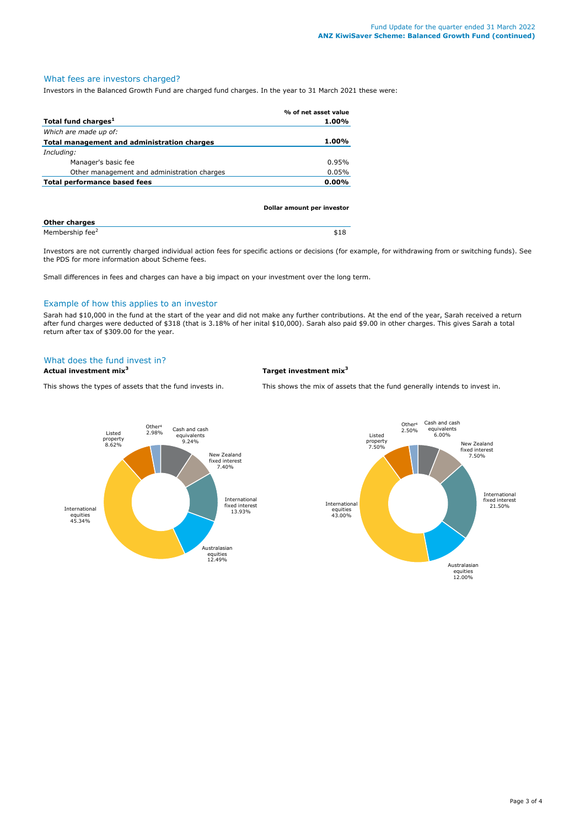### What fees are investors charged?

Investors in the Balanced Growth Fund are charged fund charges. In the year to 31 March 2021 these were:

|                                             | % of net asset value |
|---------------------------------------------|----------------------|
| Total fund charges <sup>1</sup>             | 1.00%                |
| Which are made up of:                       |                      |
| Total management and administration charges | $1.00\%$             |
| Including:                                  |                      |
| Manager's basic fee                         | 0.95%                |
| Other management and administration charges | 0.05%                |
| Total performance based fees                | $0.00\%$             |
|                                             |                      |

|                             | Dollar amount per investor |  |
|-----------------------------|----------------------------|--|
| <b>Other charges</b>        |                            |  |
| Membership fee <sup>2</sup> | \$18                       |  |

Investors are not currently charged individual action fees for specific actions or decisions (for example, for withdrawing from or switching funds). See the PDS for more information about Scheme fees.

Small differences in fees and charges can have a big impact on your investment over the long term.

#### Example of how this applies to an investor

Sarah had \$10,000 in the fund at the start of the year and did not make any further contributions. At the end of the year, Sarah received a return after fund charges were deducted of \$318 (that is 3.18% of her inital \$10,000). Sarah also paid \$9.00 in other charges. This gives Sarah a total return after tax of \$309.00 for the year.

#### What does the fund invest in?

**Actual investment mix<sup>3</sup> Target investment mix<sup>3</sup>**

This shows the types of assets that the fund invests in. This shows the mix of assets that the fund generally intends to invest in.